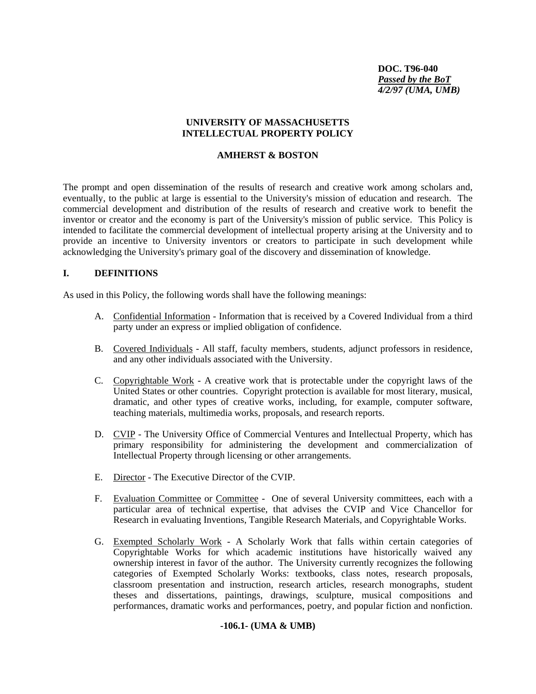**DOC. T96-040** *Passed by the BoT 4/2/97 (UMA, UMB)* 

### **UNIVERSITY OF MASSACHUSETTS INTELLECTUAL PROPERTY POLICY**

### **AMHERST & BOSTON**

The prompt and open dissemination of the results of research and creative work among scholars and, eventually, to the public at large is essential to the University's mission of education and research. The commercial development and distribution of the results of research and creative work to benefit the inventor or creator and the economy is part of the University's mission of public service. This Policy is intended to facilitate the commercial development of intellectual property arising at the University and to provide an incentive to University inventors or creators to participate in such development while acknowledging the University's primary goal of the discovery and dissemination of knowledge.

# **I. DEFINITIONS**

As used in this Policy, the following words shall have the following meanings:

- A. Confidential Information Information that is received by a Covered Individual from a third party under an express or implied obligation of confidence.
- B. Covered Individuals All staff, faculty members, students, adjunct professors in residence, and any other individuals associated with the University.
- C. Copyrightable Work A creative work that is protectable under the copyright laws of the United States or other countries. Copyright protection is available for most literary, musical, dramatic, and other types of creative works, including, for example, computer software, teaching materials, multimedia works, proposals, and research reports.
- D. CVIP The University Office of Commercial Ventures and Intellectual Property, which has primary responsibility for administering the development and commercialization of Intellectual Property through licensing or other arrangements.
- E. Director The Executive Director of the CVIP.
- F. Evaluation Committee or Committee One of several University committees, each with a particular area of technical expertise, that advises the CVIP and Vice Chancellor for Research in evaluating Inventions, Tangible Research Materials, and Copyrightable Works.
- G. Exempted Scholarly Work A Scholarly Work that falls within certain categories of Copyrightable Works for which academic institutions have historically waived any ownership interest in favor of the author. The University currently recognizes the following categories of Exempted Scholarly Works: textbooks, class notes, research proposals, classroom presentation and instruction, research articles, research monographs, student theses and dissertations, paintings, drawings, sculpture, musical compositions and performances, dramatic works and performances, poetry, and popular fiction and nonfiction.

#### **-106.1- (UMA & UMB)**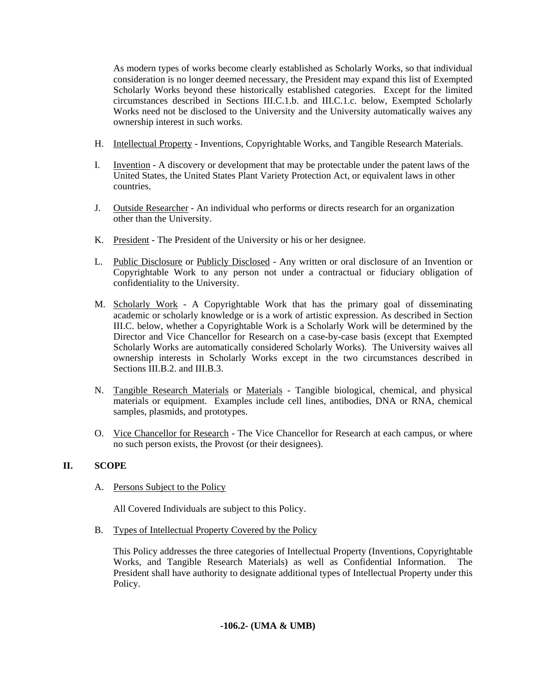As modern types of works become clearly established as Scholarly Works, so that individual consideration is no longer deemed necessary, the President may expand this list of Exempted Scholarly Works beyond these historically established categories. Except for the limited circumstances described in Sections III.C.1.b. and III.C.1.c. below, Exempted Scholarly Works need not be disclosed to the University and the University automatically waives any ownership interest in such works.

- H. Intellectual Property Inventions, Copyrightable Works, and Tangible Research Materials.
- I. Invention A discovery or development that may be protectable under the patent laws of the United States, the United States Plant Variety Protection Act, or equivalent laws in other countries.
- J. Outside Researcher An individual who performs or directs research for an organization other than the University.
- K. President The President of the University or his or her designee.
- L. Public Disclosure or Publicly Disclosed Any written or oral disclosure of an Invention or Copyrightable Work to any person not under a contractual or fiduciary obligation of confidentiality to the University.
- M. Scholarly Work A Copyrightable Work that has the primary goal of disseminating academic or scholarly knowledge or is a work of artistic expression. As described in Section III.C. below, whether a Copyrightable Work is a Scholarly Work will be determined by the Director and Vice Chancellor for Research on a case-by-case basis (except that Exempted Scholarly Works are automatically considered Scholarly Works). The University waives all ownership interests in Scholarly Works except in the two circumstances described in Sections III.B.2. and III.B.3.
- N. Tangible Research Materials or Materials Tangible biological, chemical, and physical materials or equipment. Examples include cell lines, antibodies, DNA or RNA, chemical samples, plasmids, and prototypes.
- O. Vice Chancellor for Research The Vice Chancellor for Research at each campus, or where no such person exists, the Provost (or their designees).

# **II. SCOPE**

A. Persons Subject to the Policy

All Covered Individuals are subject to this Policy.

B. Types of Intellectual Property Covered by the Policy

This Policy addresses the three categories of Intellectual Property (Inventions, Copyrightable Works, and Tangible Research Materials) as well as Confidential Information. The President shall have authority to designate additional types of Intellectual Property under this Policy.

# **-106.2- (UMA & UMB)**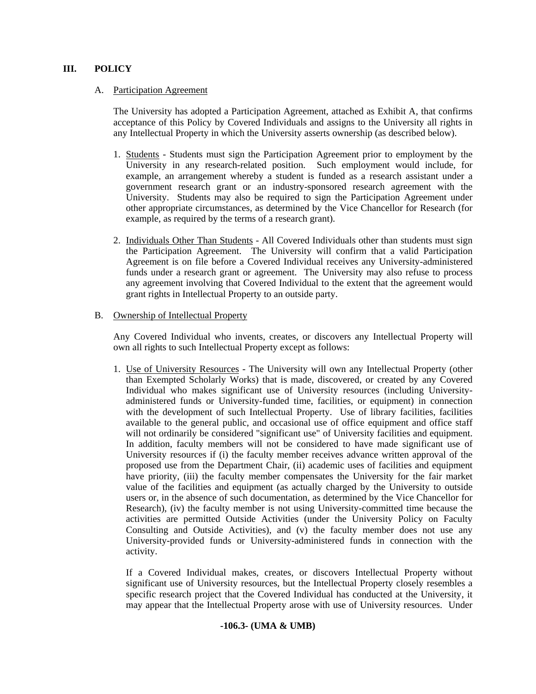### **III. POLICY**

#### A. Participation Agreement

The University has adopted a Participation Agreement, attached as Exhibit A, that confirms acceptance of this Policy by Covered Individuals and assigns to the University all rights in any Intellectual Property in which the University asserts ownership (as described below).

- 1. Students Students must sign the Participation Agreement prior to employment by the University in any research-related position. Such employment would include, for example, an arrangement whereby a student is funded as a research assistant under a government research grant or an industry-sponsored research agreement with the University. Students may also be required to sign the Participation Agreement under other appropriate circumstances, as determined by the Vice Chancellor for Research (for example, as required by the terms of a research grant).
- 2. Individuals Other Than Students All Covered Individuals other than students must sign the Participation Agreement. The University will confirm that a valid Participation Agreement is on file before a Covered Individual receives any University-administered funds under a research grant or agreement. The University may also refuse to process any agreement involving that Covered Individual to the extent that the agreement would grant rights in Intellectual Property to an outside party.

#### B. Ownership of Intellectual Property

 Any Covered Individual who invents, creates, or discovers any Intellectual Property will own all rights to such Intellectual Property except as follows:

 1. Use of University Resources - The University will own any Intellectual Property (other than Exempted Scholarly Works) that is made, discovered, or created by any Covered Individual who makes significant use of University resources (including Universityadministered funds or University-funded time, facilities, or equipment) in connection with the development of such Intellectual Property. Use of library facilities, facilities available to the general public, and occasional use of office equipment and office staff will not ordinarily be considered "significant use" of University facilities and equipment. In addition, faculty members will not be considered to have made significant use of University resources if (i) the faculty member receives advance written approval of the proposed use from the Department Chair, (ii) academic uses of facilities and equipment have priority, (iii) the faculty member compensates the University for the fair market value of the facilities and equipment (as actually charged by the University to outside users or, in the absence of such documentation, as determined by the Vice Chancellor for Research), (iv) the faculty member is not using University-committed time because the activities are permitted Outside Activities (under the University Policy on Faculty Consulting and Outside Activities), and (v) the faculty member does not use any University-provided funds or University-administered funds in connection with the activity.

 If a Covered Individual makes, creates, or discovers Intellectual Property without significant use of University resources, but the Intellectual Property closely resembles a specific research project that the Covered Individual has conducted at the University, it may appear that the Intellectual Property arose with use of University resources. Under

### **-106.3- (UMA & UMB)**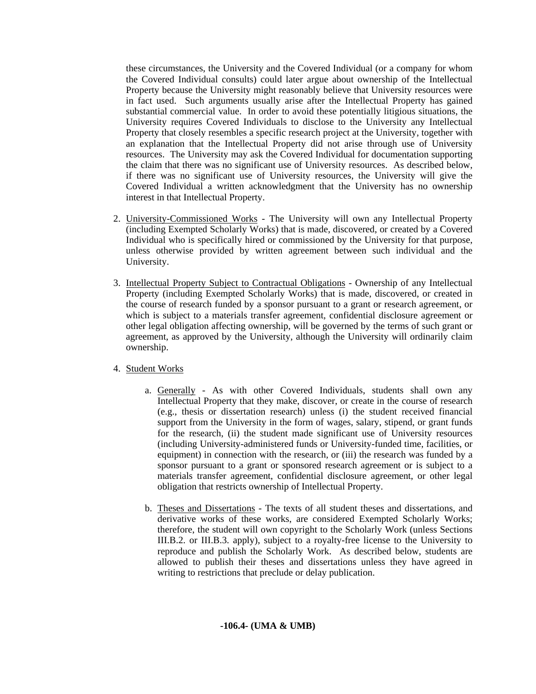these circumstances, the University and the Covered Individual (or a company for whom the Covered Individual consults) could later argue about ownership of the Intellectual Property because the University might reasonably believe that University resources were in fact used. Such arguments usually arise after the Intellectual Property has gained substantial commercial value. In order to avoid these potentially litigious situations, the University requires Covered Individuals to disclose to the University any Intellectual Property that closely resembles a specific research project at the University, together with an explanation that the Intellectual Property did not arise through use of University resources. The University may ask the Covered Individual for documentation supporting the claim that there was no significant use of University resources. As described below, if there was no significant use of University resources, the University will give the Covered Individual a written acknowledgment that the University has no ownership interest in that Intellectual Property.

- 2. University-Commissioned Works The University will own any Intellectual Property (including Exempted Scholarly Works) that is made, discovered, or created by a Covered Individual who is specifically hired or commissioned by the University for that purpose, unless otherwise provided by written agreement between such individual and the University.
- 3. Intellectual Property Subject to Contractual Obligations Ownership of any Intellectual Property (including Exempted Scholarly Works) that is made, discovered, or created in the course of research funded by a sponsor pursuant to a grant or research agreement, or which is subject to a materials transfer agreement, confidential disclosure agreement or other legal obligation affecting ownership, will be governed by the terms of such grant or agreement, as approved by the University, although the University will ordinarily claim ownership.
- 4. Student Works
	- a. Generally As with other Covered Individuals, students shall own any Intellectual Property that they make, discover, or create in the course of research (e.g., thesis or dissertation research) unless (i) the student received financial support from the University in the form of wages, salary, stipend, or grant funds for the research, (ii) the student made significant use of University resources (including University-administered funds or University-funded time, facilities, or equipment) in connection with the research, or (iii) the research was funded by a sponsor pursuant to a grant or sponsored research agreement or is subject to a materials transfer agreement, confidential disclosure agreement, or other legal obligation that restricts ownership of Intellectual Property.
	- b. Theses and Dissertations The texts of all student theses and dissertations, and derivative works of these works, are considered Exempted Scholarly Works; therefore, the student will own copyright to the Scholarly Work (unless Sections III.B.2. or III.B.3. apply), subject to a royalty-free license to the University to reproduce and publish the Scholarly Work. As described below, students are allowed to publish their theses and dissertations unless they have agreed in writing to restrictions that preclude or delay publication.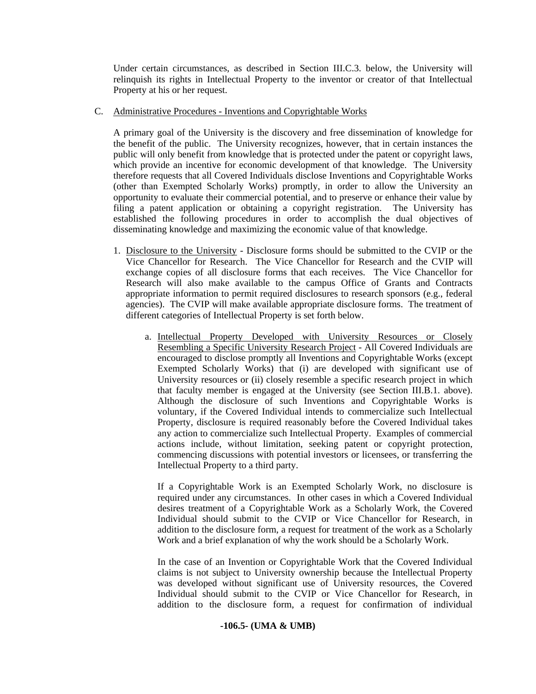Under certain circumstances, as described in Section III.C.3. below, the University will relinquish its rights in Intellectual Property to the inventor or creator of that Intellectual Property at his or her request.

### C. Administrative Procedures - Inventions and Copyrightable Works

A primary goal of the University is the discovery and free dissemination of knowledge for the benefit of the public. The University recognizes, however, that in certain instances the public will only benefit from knowledge that is protected under the patent or copyright laws, which provide an incentive for economic development of that knowledge. The University therefore requests that all Covered Individuals disclose Inventions and Copyrightable Works (other than Exempted Scholarly Works) promptly, in order to allow the University an opportunity to evaluate their commercial potential, and to preserve or enhance their value by filing a patent application or obtaining a copyright registration. The University has established the following procedures in order to accomplish the dual objectives of disseminating knowledge and maximizing the economic value of that knowledge.

- 1. Disclosure to the University Disclosure forms should be submitted to the CVIP or the Vice Chancellor for Research. The Vice Chancellor for Research and the CVIP will exchange copies of all disclosure forms that each receives. The Vice Chancellor for Research will also make available to the campus Office of Grants and Contracts appropriate information to permit required disclosures to research sponsors (e.g., federal agencies). The CVIP will make available appropriate disclosure forms. The treatment of different categories of Intellectual Property is set forth below.
	- a. Intellectual Property Developed with University Resources or Closely Resembling a Specific University Research Project - All Covered Individuals are encouraged to disclose promptly all Inventions and Copyrightable Works (except Exempted Scholarly Works) that (i) are developed with significant use of University resources or (ii) closely resemble a specific research project in which that faculty member is engaged at the University (see Section III.B.1. above). Although the disclosure of such Inventions and Copyrightable Works is voluntary, if the Covered Individual intends to commercialize such Intellectual Property, disclosure is required reasonably before the Covered Individual takes any action to commercialize such Intellectual Property. Examples of commercial actions include, without limitation, seeking patent or copyright protection, commencing discussions with potential investors or licensees, or transferring the Intellectual Property to a third party.

 If a Copyrightable Work is an Exempted Scholarly Work, no disclosure is required under any circumstances. In other cases in which a Covered Individual desires treatment of a Copyrightable Work as a Scholarly Work, the Covered Individual should submit to the CVIP or Vice Chancellor for Research, in addition to the disclosure form, a request for treatment of the work as a Scholarly Work and a brief explanation of why the work should be a Scholarly Work.

 In the case of an Invention or Copyrightable Work that the Covered Individual claims is not subject to University ownership because the Intellectual Property was developed without significant use of University resources, the Covered Individual should submit to the CVIP or Vice Chancellor for Research, in addition to the disclosure form, a request for confirmation of individual

# **-106.5- (UMA & UMB)**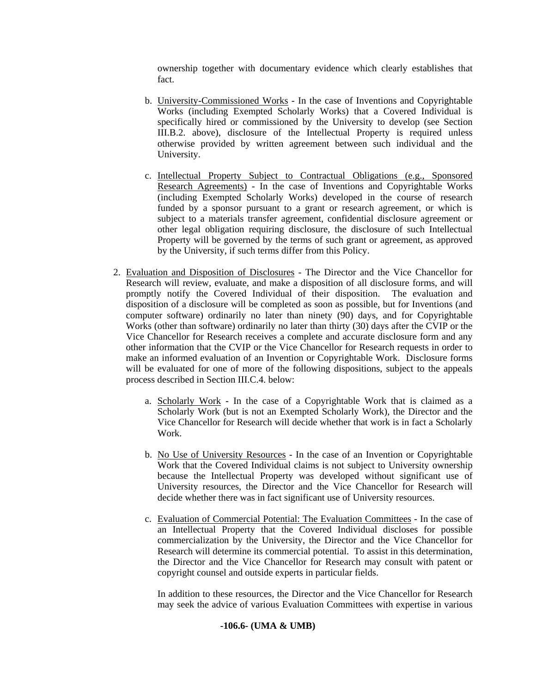ownership together with documentary evidence which clearly establishes that fact.

- b. University-Commissioned Works In the case of Inventions and Copyrightable Works (including Exempted Scholarly Works) that a Covered Individual is specifically hired or commissioned by the University to develop (see Section III.B.2. above), disclosure of the Intellectual Property is required unless otherwise provided by written agreement between such individual and the University.
- c. Intellectual Property Subject to Contractual Obligations (e.g., Sponsored Research Agreements) - In the case of Inventions and Copyrightable Works (including Exempted Scholarly Works) developed in the course of research funded by a sponsor pursuant to a grant or research agreement, or which is subject to a materials transfer agreement, confidential disclosure agreement or other legal obligation requiring disclosure, the disclosure of such Intellectual Property will be governed by the terms of such grant or agreement, as approved by the University, if such terms differ from this Policy.
- 2. Evaluation and Disposition of Disclosures The Director and the Vice Chancellor for Research will review, evaluate, and make a disposition of all disclosure forms, and will promptly notify the Covered Individual of their disposition. The evaluation and disposition of a disclosure will be completed as soon as possible, but for Inventions (and computer software) ordinarily no later than ninety (90) days, and for Copyrightable Works (other than software) ordinarily no later than thirty (30) days after the CVIP or the Vice Chancellor for Research receives a complete and accurate disclosure form and any other information that the CVIP or the Vice Chancellor for Research requests in order to make an informed evaluation of an Invention or Copyrightable Work. Disclosure forms will be evaluated for one of more of the following dispositions, subject to the appeals process described in Section III.C.4. below:
	- a. Scholarly Work In the case of a Copyrightable Work that is claimed as a Scholarly Work (but is not an Exempted Scholarly Work), the Director and the Vice Chancellor for Research will decide whether that work is in fact a Scholarly Work.
	- b. No Use of University Resources In the case of an Invention or Copyrightable Work that the Covered Individual claims is not subject to University ownership because the Intellectual Property was developed without significant use of University resources, the Director and the Vice Chancellor for Research will decide whether there was in fact significant use of University resources.
	- c. Evaluation of Commercial Potential: The Evaluation Committees In the case of an Intellectual Property that the Covered Individual discloses for possible commercialization by the University, the Director and the Vice Chancellor for Research will determine its commercial potential. To assist in this determination, the Director and the Vice Chancellor for Research may consult with patent or copyright counsel and outside experts in particular fields.

 In addition to these resources, the Director and the Vice Chancellor for Research may seek the advice of various Evaluation Committees with expertise in various

### **-106.6- (UMA & UMB)**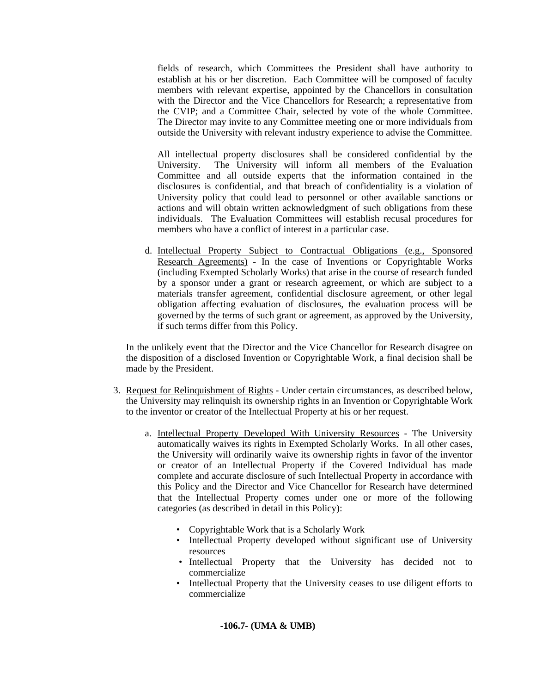fields of research, which Committees the President shall have authority to establish at his or her discretion. Each Committee will be composed of faculty members with relevant expertise, appointed by the Chancellors in consultation with the Director and the Vice Chancellors for Research; a representative from the CVIP; and a Committee Chair, selected by vote of the whole Committee. The Director may invite to any Committee meeting one or more individuals from outside the University with relevant industry experience to advise the Committee.

 All intellectual property disclosures shall be considered confidential by the University. The University will inform all members of the Evaluation Committee and all outside experts that the information contained in the disclosures is confidential, and that breach of confidentiality is a violation of University policy that could lead to personnel or other available sanctions or actions and will obtain written acknowledgment of such obligations from these individuals. The Evaluation Committees will establish recusal procedures for members who have a conflict of interest in a particular case.

 d. Intellectual Property Subject to Contractual Obligations (e.g., Sponsored Research Agreements) - In the case of Inventions or Copyrightable Works (including Exempted Scholarly Works) that arise in the course of research funded by a sponsor under a grant or research agreement, or which are subject to a materials transfer agreement, confidential disclosure agreement, or other legal obligation affecting evaluation of disclosures, the evaluation process will be governed by the terms of such grant or agreement, as approved by the University, if such terms differ from this Policy.

 In the unlikely event that the Director and the Vice Chancellor for Research disagree on the disposition of a disclosed Invention or Copyrightable Work, a final decision shall be made by the President.

- 3. Request for Relinquishment of Rights Under certain circumstances, as described below, the University may relinquish its ownership rights in an Invention or Copyrightable Work to the inventor or creator of the Intellectual Property at his or her request.
	- a. Intellectual Property Developed With University Resources The University automatically waives its rights in Exempted Scholarly Works. In all other cases, the University will ordinarily waive its ownership rights in favor of the inventor or creator of an Intellectual Property if the Covered Individual has made complete and accurate disclosure of such Intellectual Property in accordance with this Policy and the Director and Vice Chancellor for Research have determined that the Intellectual Property comes under one or more of the following categories (as described in detail in this Policy):
		- Copyrightable Work that is a Scholarly Work
		- Intellectual Property developed without significant use of University resources
		- Intellectual Property that the University has decided not to commercialize
		- Intellectual Property that the University ceases to use diligent efforts to commercialize

# **-106.7- (UMA & UMB)**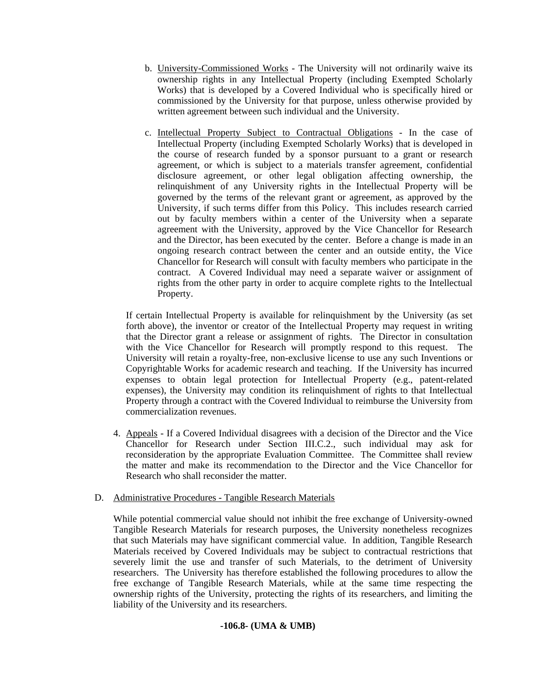- b. University-Commissioned Works The University will not ordinarily waive its ownership rights in any Intellectual Property (including Exempted Scholarly Works) that is developed by a Covered Individual who is specifically hired or commissioned by the University for that purpose, unless otherwise provided by written agreement between such individual and the University.
- c. Intellectual Property Subject to Contractual Obligations In the case of Intellectual Property (including Exempted Scholarly Works) that is developed in the course of research funded by a sponsor pursuant to a grant or research agreement, or which is subject to a materials transfer agreement, confidential disclosure agreement, or other legal obligation affecting ownership, the relinquishment of any University rights in the Intellectual Property will be governed by the terms of the relevant grant or agreement, as approved by the University, if such terms differ from this Policy. This includes research carried out by faculty members within a center of the University when a separate agreement with the University, approved by the Vice Chancellor for Research and the Director, has been executed by the center. Before a change is made in an ongoing research contract between the center and an outside entity, the Vice Chancellor for Research will consult with faculty members who participate in the contract. A Covered Individual may need a separate waiver or assignment of rights from the other party in order to acquire complete rights to the Intellectual Property.

 If certain Intellectual Property is available for relinquishment by the University (as set forth above), the inventor or creator of the Intellectual Property may request in writing that the Director grant a release or assignment of rights. The Director in consultation with the Vice Chancellor for Research will promptly respond to this request. The University will retain a royalty-free, non-exclusive license to use any such Inventions or Copyrightable Works for academic research and teaching. If the University has incurred expenses to obtain legal protection for Intellectual Property (e.g., patent-related expenses), the University may condition its relinquishment of rights to that Intellectual Property through a contract with the Covered Individual to reimburse the University from commercialization revenues.

 4. Appeals - If a Covered Individual disagrees with a decision of the Director and the Vice Chancellor for Research under Section III.C.2., such individual may ask for reconsideration by the appropriate Evaluation Committee. The Committee shall review the matter and make its recommendation to the Director and the Vice Chancellor for Research who shall reconsider the matter.

# D. Administrative Procedures - Tangible Research Materials

While potential commercial value should not inhibit the free exchange of University-owned Tangible Research Materials for research purposes, the University nonetheless recognizes that such Materials may have significant commercial value. In addition, Tangible Research Materials received by Covered Individuals may be subject to contractual restrictions that severely limit the use and transfer of such Materials, to the detriment of University researchers. The University has therefore established the following procedures to allow the free exchange of Tangible Research Materials, while at the same time respecting the ownership rights of the University, protecting the rights of its researchers, and limiting the liability of the University and its researchers.

# **-106.8- (UMA & UMB)**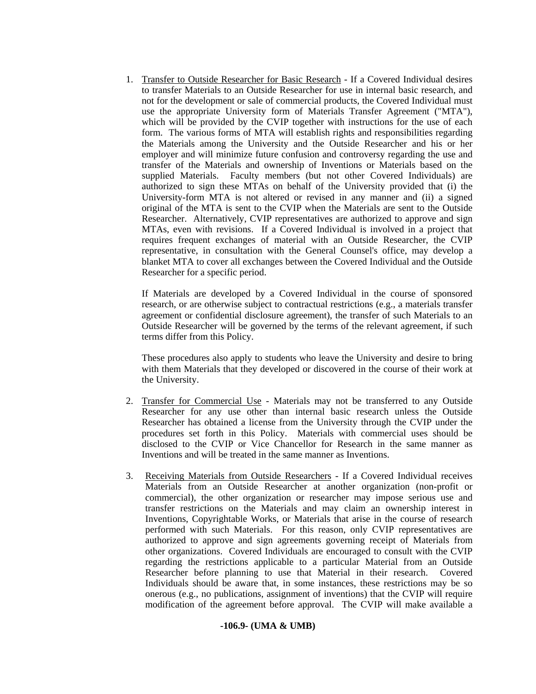1. Transfer to Outside Researcher for Basic Research - If a Covered Individual desires to transfer Materials to an Outside Researcher for use in internal basic research, and not for the development or sale of commercial products, the Covered Individual must use the appropriate University form of Materials Transfer Agreement ("MTA"), which will be provided by the CVIP together with instructions for the use of each form. The various forms of MTA will establish rights and responsibilities regarding the Materials among the University and the Outside Researcher and his or her employer and will minimize future confusion and controversy regarding the use and transfer of the Materials and ownership of Inventions or Materials based on the supplied Materials. Faculty members (but not other Covered Individuals) are authorized to sign these MTAs on behalf of the University provided that (i) the University-form MTA is not altered or revised in any manner and (ii) a signed original of the MTA is sent to the CVIP when the Materials are sent to the Outside Researcher. Alternatively, CVIP representatives are authorized to approve and sign MTAs, even with revisions. If a Covered Individual is involved in a project that requires frequent exchanges of material with an Outside Researcher, the CVIP representative, in consultation with the General Counsel's office, may develop a blanket MTA to cover all exchanges between the Covered Individual and the Outside Researcher for a specific period.

 If Materials are developed by a Covered Individual in the course of sponsored research, or are otherwise subject to contractual restrictions (e.g., a materials transfer agreement or confidential disclosure agreement), the transfer of such Materials to an Outside Researcher will be governed by the terms of the relevant agreement, if such terms differ from this Policy.

 These procedures also apply to students who leave the University and desire to bring with them Materials that they developed or discovered in the course of their work at the University.

- 2. Transfer for Commercial Use Materials may not be transferred to any Outside Researcher for any use other than internal basic research unless the Outside Researcher has obtained a license from the University through the CVIP under the procedures set forth in this Policy. Materials with commercial uses should be disclosed to the CVIP or Vice Chancellor for Research in the same manner as Inventions and will be treated in the same manner as Inventions.
- 3. Receiving Materials from Outside Researchers If a Covered Individual receives Materials from an Outside Researcher at another organization (non-profit or commercial), the other organization or researcher may impose serious use and transfer restrictions on the Materials and may claim an ownership interest in Inventions, Copyrightable Works, or Materials that arise in the course of research performed with such Materials. For this reason, only CVIP representatives are authorized to approve and sign agreements governing receipt of Materials from other organizations. Covered Individuals are encouraged to consult with the CVIP regarding the restrictions applicable to a particular Material from an Outside Researcher before planning to use that Material in their research. Covered Individuals should be aware that, in some instances, these restrictions may be so onerous (e.g., no publications, assignment of inventions) that the CVIP will require modification of the agreement before approval. The CVIP will make available a

### **-106.9- (UMA & UMB)**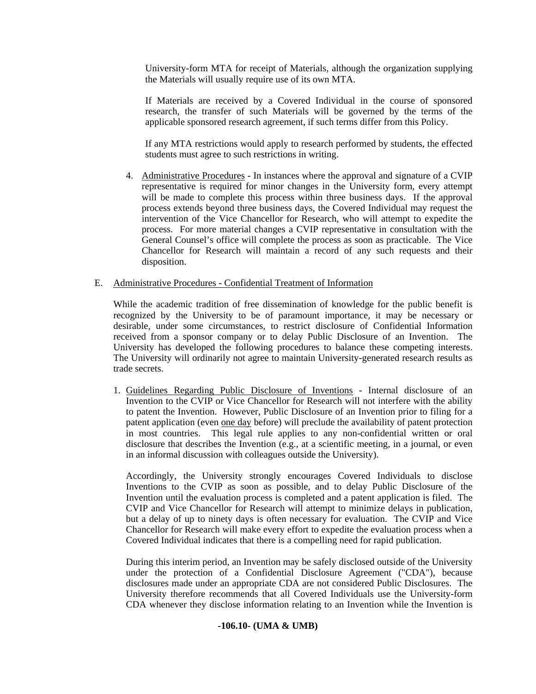University-form MTA for receipt of Materials, although the organization supplying the Materials will usually require use of its own MTA.

 If Materials are received by a Covered Individual in the course of sponsored research, the transfer of such Materials will be governed by the terms of the applicable sponsored research agreement, if such terms differ from this Policy.

 If any MTA restrictions would apply to research performed by students, the effected students must agree to such restrictions in writing.

4. Administrative Procedures - In instances where the approval and signature of a CVIP representative is required for minor changes in the University form, every attempt will be made to complete this process within three business days. If the approval process extends beyond three business days, the Covered Individual may request the intervention of the Vice Chancellor for Research, who will attempt to expedite the process. For more material changes a CVIP representative in consultation with the General Counsel's office will complete the process as soon as practicable. The Vice Chancellor for Research will maintain a record of any such requests and their disposition.

### E. Administrative Procedures - Confidential Treatment of Information

While the academic tradition of free dissemination of knowledge for the public benefit is recognized by the University to be of paramount importance, it may be necessary or desirable, under some circumstances, to restrict disclosure of Confidential Information received from a sponsor company or to delay Public Disclosure of an Invention. The University has developed the following procedures to balance these competing interests. The University will ordinarily not agree to maintain University-generated research results as trade secrets.

1. Guidelines Regarding Public Disclosure of Inventions - Internal disclosure of an Invention to the CVIP or Vice Chancellor for Research will not interfere with the ability to patent the Invention. However, Public Disclosure of an Invention prior to filing for a patent application (even one day before) will preclude the availability of patent protection in most countries. This legal rule applies to any non-confidential written or oral disclosure that describes the Invention (e.g., at a scientific meeting, in a journal, or even in an informal discussion with colleagues outside the University).

 Accordingly, the University strongly encourages Covered Individuals to disclose Inventions to the CVIP as soon as possible, and to delay Public Disclosure of the Invention until the evaluation process is completed and a patent application is filed. The CVIP and Vice Chancellor for Research will attempt to minimize delays in publication, but a delay of up to ninety days is often necessary for evaluation. The CVIP and Vice Chancellor for Research will make every effort to expedite the evaluation process when a Covered Individual indicates that there is a compelling need for rapid publication.

 During this interim period, an Invention may be safely disclosed outside of the University under the protection of a Confidential Disclosure Agreement ("CDA"), because disclosures made under an appropriate CDA are not considered Public Disclosures. The University therefore recommends that all Covered Individuals use the University-form CDA whenever they disclose information relating to an Invention while the Invention is

### **-106.10- (UMA & UMB)**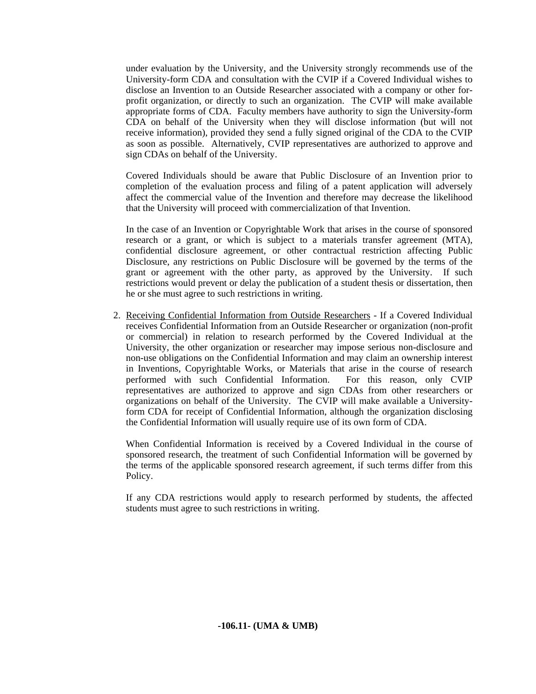under evaluation by the University, and the University strongly recommends use of the University-form CDA and consultation with the CVIP if a Covered Individual wishes to disclose an Invention to an Outside Researcher associated with a company or other forprofit organization, or directly to such an organization. The CVIP will make available appropriate forms of CDA. Faculty members have authority to sign the University-form CDA on behalf of the University when they will disclose information (but will not receive information), provided they send a fully signed original of the CDA to the CVIP as soon as possible. Alternatively, CVIP representatives are authorized to approve and sign CDAs on behalf of the University.

 Covered Individuals should be aware that Public Disclosure of an Invention prior to completion of the evaluation process and filing of a patent application will adversely affect the commercial value of the Invention and therefore may decrease the likelihood that the University will proceed with commercialization of that Invention.

 In the case of an Invention or Copyrightable Work that arises in the course of sponsored research or a grant, or which is subject to a materials transfer agreement (MTA), confidential disclosure agreement, or other contractual restriction affecting Public Disclosure, any restrictions on Public Disclosure will be governed by the terms of the grant or agreement with the other party, as approved by the University. If such restrictions would prevent or delay the publication of a student thesis or dissertation, then he or she must agree to such restrictions in writing.

2. Receiving Confidential Information from Outside Researchers - If a Covered Individual receives Confidential Information from an Outside Researcher or organization (non-profit or commercial) in relation to research performed by the Covered Individual at the University, the other organization or researcher may impose serious non-disclosure and non-use obligations on the Confidential Information and may claim an ownership interest in Inventions, Copyrightable Works, or Materials that arise in the course of research performed with such Confidential Information. For this reason, only CVIP representatives are authorized to approve and sign CDAs from other researchers or organizations on behalf of the University. The CVIP will make available a Universityform CDA for receipt of Confidential Information, although the organization disclosing the Confidential Information will usually require use of its own form of CDA.

 When Confidential Information is received by a Covered Individual in the course of sponsored research, the treatment of such Confidential Information will be governed by the terms of the applicable sponsored research agreement, if such terms differ from this Policy.

 If any CDA restrictions would apply to research performed by students, the affected students must agree to such restrictions in writing.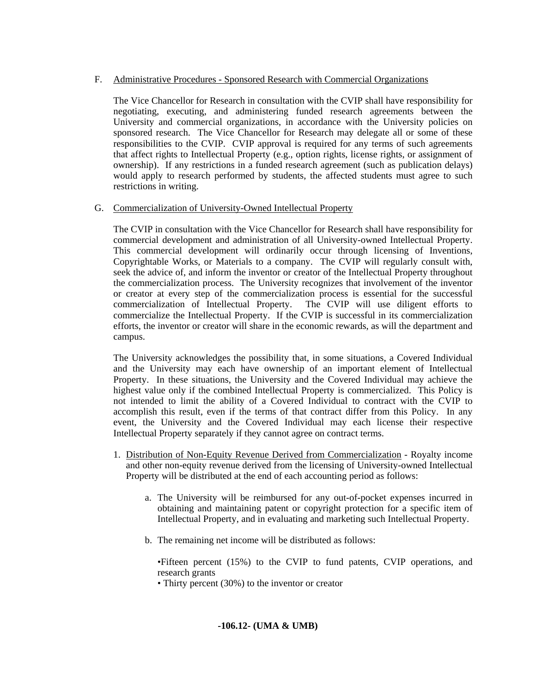# F. Administrative Procedures - Sponsored Research with Commercial Organizations

 The Vice Chancellor for Research in consultation with the CVIP shall have responsibility for negotiating, executing, and administering funded research agreements between the University and commercial organizations, in accordance with the University policies on sponsored research. The Vice Chancellor for Research may delegate all or some of these responsibilities to the CVIP. CVIP approval is required for any terms of such agreements that affect rights to Intellectual Property (e.g., option rights, license rights, or assignment of ownership). If any restrictions in a funded research agreement (such as publication delays) would apply to research performed by students, the affected students must agree to such restrictions in writing.

# G. Commercialization of University-Owned Intellectual Property

The CVIP in consultation with the Vice Chancellor for Research shall have responsibility for commercial development and administration of all University-owned Intellectual Property. This commercial development will ordinarily occur through licensing of Inventions, Copyrightable Works, or Materials to a company. The CVIP will regularly consult with, seek the advice of, and inform the inventor or creator of the Intellectual Property throughout the commercialization process. The University recognizes that involvement of the inventor or creator at every step of the commercialization process is essential for the successful commercialization of Intellectual Property. The CVIP will use diligent efforts to commercialize the Intellectual Property. If the CVIP is successful in its commercialization efforts, the inventor or creator will share in the economic rewards, as will the department and campus.

 The University acknowledges the possibility that, in some situations, a Covered Individual and the University may each have ownership of an important element of Intellectual Property. In these situations, the University and the Covered Individual may achieve the highest value only if the combined Intellectual Property is commercialized. This Policy is not intended to limit the ability of a Covered Individual to contract with the CVIP to accomplish this result, even if the terms of that contract differ from this Policy. In any event, the University and the Covered Individual may each license their respective Intellectual Property separately if they cannot agree on contract terms.

- 1. Distribution of Non-Equity Revenue Derived from Commercialization Royalty income and other non-equity revenue derived from the licensing of University-owned Intellectual Property will be distributed at the end of each accounting period as follows:
	- a. The University will be reimbursed for any out-of-pocket expenses incurred in obtaining and maintaining patent or copyright protection for a specific item of Intellectual Property, and in evaluating and marketing such Intellectual Property.
	- b. The remaining net income will be distributed as follows:

•Fifteen percent (15%) to the CVIP to fund patents, CVIP operations, and research grants

• Thirty percent (30%) to the inventor or creator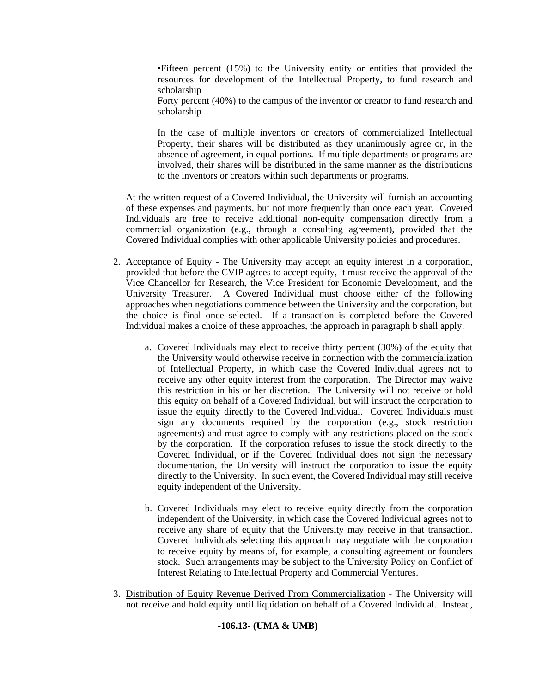•Fifteen percent (15%) to the University entity or entities that provided the resources for development of the Intellectual Property, to fund research and scholarship

Forty percent (40%) to the campus of the inventor or creator to fund research and scholarship

In the case of multiple inventors or creators of commercialized Intellectual Property, their shares will be distributed as they unanimously agree or, in the absence of agreement, in equal portions. If multiple departments or programs are involved, their shares will be distributed in the same manner as the distributions to the inventors or creators within such departments or programs.

 At the written request of a Covered Individual, the University will furnish an accounting of these expenses and payments, but not more frequently than once each year. Covered Individuals are free to receive additional non-equity compensation directly from a commercial organization (e.g., through a consulting agreement), provided that the Covered Individual complies with other applicable University policies and procedures.

- 2. Acceptance of Equity The University may accept an equity interest in a corporation, provided that before the CVIP agrees to accept equity, it must receive the approval of the Vice Chancellor for Research, the Vice President for Economic Development, and the University Treasurer. A Covered Individual must choose either of the following approaches when negotiations commence between the University and the corporation, but the choice is final once selected. If a transaction is completed before the Covered Individual makes a choice of these approaches, the approach in paragraph b shall apply.
	- a. Covered Individuals may elect to receive thirty percent (30%) of the equity that the University would otherwise receive in connection with the commercialization of Intellectual Property, in which case the Covered Individual agrees not to receive any other equity interest from the corporation. The Director may waive this restriction in his or her discretion. The University will not receive or hold this equity on behalf of a Covered Individual, but will instruct the corporation to issue the equity directly to the Covered Individual. Covered Individuals must sign any documents required by the corporation (e.g., stock restriction agreements) and must agree to comply with any restrictions placed on the stock by the corporation. If the corporation refuses to issue the stock directly to the Covered Individual, or if the Covered Individual does not sign the necessary documentation, the University will instruct the corporation to issue the equity directly to the University. In such event, the Covered Individual may still receive equity independent of the University.
	- b. Covered Individuals may elect to receive equity directly from the corporation independent of the University, in which case the Covered Individual agrees not to receive any share of equity that the University may receive in that transaction. Covered Individuals selecting this approach may negotiate with the corporation to receive equity by means of, for example, a consulting agreement or founders stock. Such arrangements may be subject to the University Policy on Conflict of Interest Relating to Intellectual Property and Commercial Ventures.
- 3. Distribution of Equity Revenue Derived From Commercialization The University will not receive and hold equity until liquidation on behalf of a Covered Individual. Instead,

### **-106.13- (UMA & UMB)**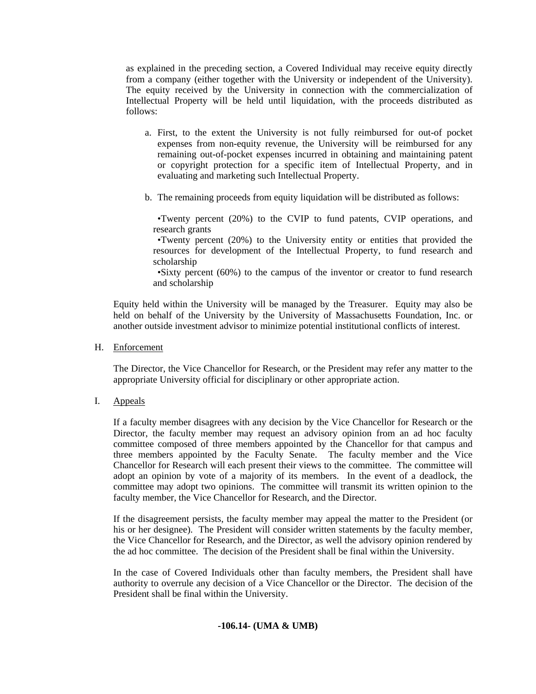as explained in the preceding section, a Covered Individual may receive equity directly from a company (either together with the University or independent of the University). The equity received by the University in connection with the commercialization of Intellectual Property will be held until liquidation, with the proceeds distributed as follows:

- a. First, to the extent the University is not fully reimbursed for out-of pocket expenses from non-equity revenue, the University will be reimbursed for any remaining out-of-pocket expenses incurred in obtaining and maintaining patent or copyright protection for a specific item of Intellectual Property, and in evaluating and marketing such Intellectual Property.
- b. The remaining proceeds from equity liquidation will be distributed as follows:

 •Twenty percent (20%) to the CVIP to fund patents, CVIP operations, and research grants

 •Twenty percent (20%) to the University entity or entities that provided the resources for development of the Intellectual Property, to fund research and scholarship

 •Sixty percent (60%) to the campus of the inventor or creator to fund research and scholarship

 Equity held within the University will be managed by the Treasurer. Equity may also be held on behalf of the University by the University of Massachusetts Foundation, Inc. or another outside investment advisor to minimize potential institutional conflicts of interest.

H. Enforcement

The Director, the Vice Chancellor for Research, or the President may refer any matter to the appropriate University official for disciplinary or other appropriate action.

I. Appeals

 If a faculty member disagrees with any decision by the Vice Chancellor for Research or the Director, the faculty member may request an advisory opinion from an ad hoc faculty committee composed of three members appointed by the Chancellor for that campus and three members appointed by the Faculty Senate. The faculty member and the Vice Chancellor for Research will each present their views to the committee. The committee will adopt an opinion by vote of a majority of its members. In the event of a deadlock, the committee may adopt two opinions. The committee will transmit its written opinion to the faculty member, the Vice Chancellor for Research, and the Director.

 If the disagreement persists, the faculty member may appeal the matter to the President (or his or her designee). The President will consider written statements by the faculty member, the Vice Chancellor for Research, and the Director, as well the advisory opinion rendered by the ad hoc committee. The decision of the President shall be final within the University.

In the case of Covered Individuals other than faculty members, the President shall have authority to overrule any decision of a Vice Chancellor or the Director. The decision of the President shall be final within the University.

### **-106.14- (UMA & UMB)**